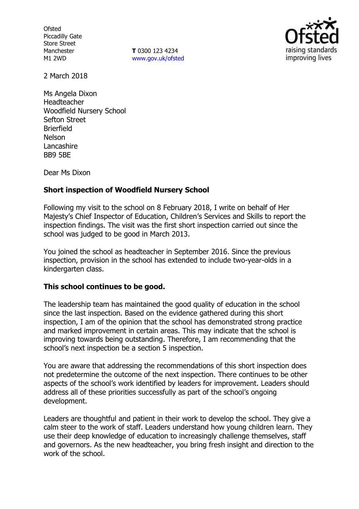**Ofsted** Piccadilly Gate Store Street Manchester M1 2WD

**T** 0300 123 4234 www.gov.uk/ofsted



2 March 2018

Ms Angela Dixon Headteacher Woodfield Nursery School Sefton Street Brierfield Nelson Lancashire BB9 5BE

Dear Ms Dixon

# **Short inspection of Woodfield Nursery School**

Following my visit to the school on 8 February 2018, I write on behalf of Her Majesty's Chief Inspector of Education, Children's Services and Skills to report the inspection findings. The visit was the first short inspection carried out since the school was judged to be good in March 2013.

You joined the school as headteacher in September 2016. Since the previous inspection, provision in the school has extended to include two-year-olds in a kindergarten class.

# **This school continues to be good.**

The leadership team has maintained the good quality of education in the school since the last inspection. Based on the evidence gathered during this short inspection, I am of the opinion that the school has demonstrated strong practice and marked improvement in certain areas. This may indicate that the school is improving towards being outstanding. Therefore, I am recommending that the school's next inspection be a section 5 inspection.

You are aware that addressing the recommendations of this short inspection does not predetermine the outcome of the next inspection. There continues to be other aspects of the school's work identified by leaders for improvement. Leaders should address all of these priorities successfully as part of the school's ongoing development.

Leaders are thoughtful and patient in their work to develop the school. They give a calm steer to the work of staff. Leaders understand how young children learn. They use their deep knowledge of education to increasingly challenge themselves, staff and governors. As the new headteacher, you bring fresh insight and direction to the work of the school.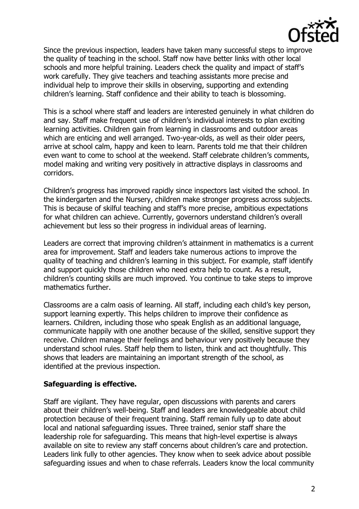

Since the previous inspection, leaders have taken many successful steps to improve the quality of teaching in the school. Staff now have better links with other local schools and more helpful training. Leaders check the quality and impact of staff's work carefully. They give teachers and teaching assistants more precise and individual help to improve their skills in observing, supporting and extending children's learning. Staff confidence and their ability to teach is blossoming.

This is a school where staff and leaders are interested genuinely in what children do and say. Staff make frequent use of children's individual interests to plan exciting learning activities. Children gain from learning in classrooms and outdoor areas which are enticing and well arranged. Two-year-olds, as well as their older peers, arrive at school calm, happy and keen to learn. Parents told me that their children even want to come to school at the weekend. Staff celebrate children's comments, model making and writing very positively in attractive displays in classrooms and corridors.

Children's progress has improved rapidly since inspectors last visited the school. In the kindergarten and the Nursery, children make stronger progress across subjects. This is because of skilful teaching and staff's more precise, ambitious expectations for what children can achieve. Currently, governors understand children's overall achievement but less so their progress in individual areas of learning.

Leaders are correct that improving children's attainment in mathematics is a current area for improvement. Staff and leaders take numerous actions to improve the quality of teaching and children's learning in this subject. For example, staff identify and support quickly those children who need extra help to count. As a result, children's counting skills are much improved. You continue to take steps to improve mathematics further.

Classrooms are a calm oasis of learning. All staff, including each child's key person, support learning expertly. This helps children to improve their confidence as learners. Children, including those who speak English as an additional language, communicate happily with one another because of the skilled, sensitive support they receive. Children manage their feelings and behaviour very positively because they understand school rules. Staff help them to listen, think and act thoughtfully. This shows that leaders are maintaining an important strength of the school, as identified at the previous inspection.

# **Safeguarding is effective.**

Staff are vigilant. They have regular, open discussions with parents and carers about their children's well-being. Staff and leaders are knowledgeable about child protection because of their frequent training. Staff remain fully up to date about local and national safeguarding issues. Three trained, senior staff share the leadership role for safeguarding. This means that high-level expertise is always available on site to review any staff concerns about children's care and protection. Leaders link fully to other agencies. They know when to seek advice about possible safeguarding issues and when to chase referrals. Leaders know the local community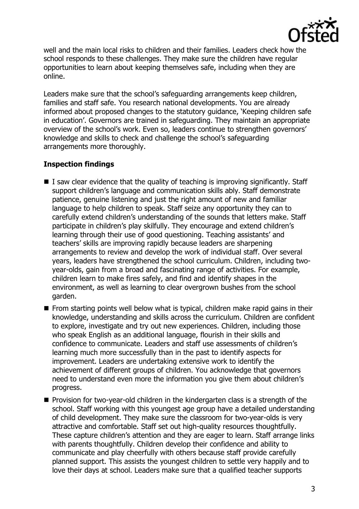

well and the main local risks to children and their families. Leaders check how the school responds to these challenges. They make sure the children have regular opportunities to learn about keeping themselves safe, including when they are online.

Leaders make sure that the school's safeguarding arrangements keep children, families and staff safe. You research national developments. You are already informed about proposed changes to the statutory guidance, 'Keeping children safe in education'. Governors are trained in safeguarding. They maintain an appropriate overview of the school's work. Even so, leaders continue to strengthen governors' knowledge and skills to check and challenge the school's safeguarding arrangements more thoroughly.

# **Inspection findings**

- $\blacksquare$  I saw clear evidence that the quality of teaching is improving significantly. Staff support children's language and communication skills ably. Staff demonstrate patience, genuine listening and just the right amount of new and familiar language to help children to speak. Staff seize any opportunity they can to carefully extend children's understanding of the sounds that letters make. Staff participate in children's play skilfully. They encourage and extend children's learning through their use of good questioning. Teaching assistants' and teachers' skills are improving rapidly because leaders are sharpening arrangements to review and develop the work of individual staff. Over several years, leaders have strengthened the school curriculum. Children, including twoyear-olds, gain from a broad and fascinating range of activities. For example, children learn to make fires safely, and find and identify shapes in the environment, as well as learning to clear overgrown bushes from the school garden.
- $\blacksquare$  From starting points well below what is typical, children make rapid gains in their knowledge, understanding and skills across the curriculum. Children are confident to explore, investigate and try out new experiences. Children, including those who speak English as an additional language, flourish in their skills and confidence to communicate. Leaders and staff use assessments of children's learning much more successfully than in the past to identify aspects for improvement. Leaders are undertaking extensive work to identify the achievement of different groups of children. You acknowledge that governors need to understand even more the information you give them about children's progress.
- **Provision for two-year-old children in the kindergarten class is a strength of the** school. Staff working with this youngest age group have a detailed understanding of child development. They make sure the classroom for two-year-olds is very attractive and comfortable. Staff set out high-quality resources thoughtfully. These capture children's attention and they are eager to learn. Staff arrange links with parents thoughtfully. Children develop their confidence and ability to communicate and play cheerfully with others because staff provide carefully planned support. This assists the youngest children to settle very happily and to love their days at school. Leaders make sure that a qualified teacher supports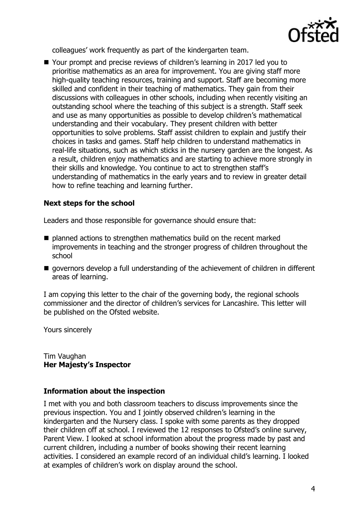

colleagues' work frequently as part of the kindergarten team.

■ Your prompt and precise reviews of children's learning in 2017 led you to prioritise mathematics as an area for improvement. You are giving staff more high-quality teaching resources, training and support. Staff are becoming more skilled and confident in their teaching of mathematics. They gain from their discussions with colleagues in other schools, including when recently visiting an outstanding school where the teaching of this subject is a strength. Staff seek and use as many opportunities as possible to develop children's mathematical understanding and their vocabulary. They present children with better opportunities to solve problems. Staff assist children to explain and justify their choices in tasks and games. Staff help children to understand mathematics in real-life situations, such as which sticks in the nursery garden are the longest. As a result, children enjoy mathematics and are starting to achieve more strongly in their skills and knowledge. You continue to act to strengthen staff's understanding of mathematics in the early years and to review in greater detail how to refine teaching and learning further.

# **Next steps for the school**

Leaders and those responsible for governance should ensure that:

- planned actions to strengthen mathematics build on the recent marked improvements in teaching and the stronger progress of children throughout the school
- $\blacksquare$  governors develop a full understanding of the achievement of children in different areas of learning.

I am copying this letter to the chair of the governing body, the regional schools commissioner and the director of children's services for Lancashire. This letter will be published on the Ofsted website.

Yours sincerely

Tim Vaughan **Her Majesty's Inspector**

# **Information about the inspection**

I met with you and both classroom teachers to discuss improvements since the previous inspection. You and I jointly observed children's learning in the kindergarten and the Nursery class. I spoke with some parents as they dropped their children off at school. I reviewed the 12 responses to Ofsted's online survey, Parent View. I looked at school information about the progress made by past and current children, including a number of books showing their recent learning activities. I considered an example record of an individual child's learning. I looked at examples of children's work on display around the school.